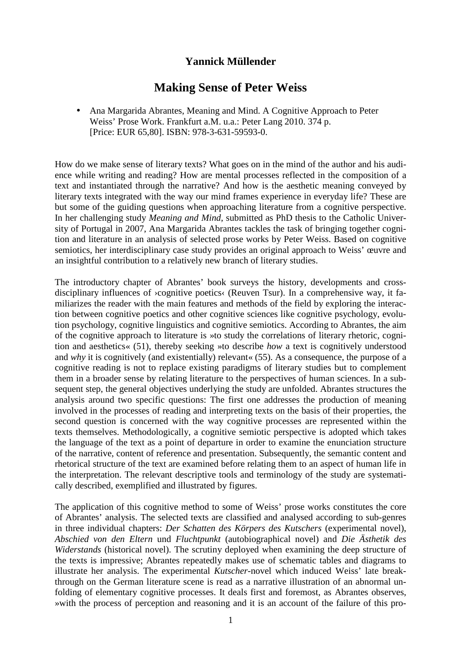## **Yannick Müllender**

## **Making Sense of Peter Weiss**

• Ana Margarida Abrantes, Meaning and Mind. A Cognitive Approach to Peter Weiss' Prose Work. Frankfurt a.M. u.a.: Peter Lang 2010. 374 p. [Price: EUR 65,80]. ISBN: 978-3-631-59593-0.

How do we make sense of literary texts? What goes on in the mind of the author and his audience while writing and reading? How are mental processes reflected in the composition of a text and instantiated through the narrative? And how is the aesthetic meaning conveyed by literary texts integrated with the way our mind frames experience in everyday life? These are but some of the guiding questions when approaching literature from a cognitive perspective. In her challenging study *Meaning and Mind*, submitted as PhD thesis to the Catholic University of Portugal in 2007, Ana Margarida Abrantes tackles the task of bringing together cognition and literature in an analysis of selected prose works by Peter Weiss. Based on cognitive semiotics, her interdisciplinary case study provides an original approach to Weiss' œuvre and an insightful contribution to a relatively new branch of literary studies.

The introductory chapter of Abrantes' book surveys the history, developments and crossdisciplinary influences of ›cognitive poetics‹ (Reuven Tsur). In a comprehensive way, it familiarizes the reader with the main features and methods of the field by exploring the interaction between cognitive poetics and other cognitive sciences like cognitive psychology, evolution psychology, cognitive linguistics and cognitive semiotics. According to Abrantes, the aim of the cognitive approach to literature is »to study the correlations of literary rhetoric, cognition and aesthetics« (51), thereby seeking »to describe *how* a text is cognitively understood and *why* it is cognitively (and existentially) relevant« (55). As a consequence, the purpose of a cognitive reading is not to replace existing paradigms of literary studies but to complement them in a broader sense by relating literature to the perspectives of human sciences. In a subsequent step, the general objectives underlying the study are unfolded. Abrantes structures the analysis around two specific questions: The first one addresses the production of meaning involved in the processes of reading and interpreting texts on the basis of their properties, the second question is concerned with the way cognitive processes are represented within the texts themselves. Methodologically, a cognitive semiotic perspective is adopted which takes the language of the text as a point of departure in order to examine the enunciation structure of the narrative, content of reference and presentation. Subsequently, the semantic content and rhetorical structure of the text are examined before relating them to an aspect of human life in the interpretation. The relevant descriptive tools and terminology of the study are systematically described, exemplified and illustrated by figures.

The application of this cognitive method to some of Weiss' prose works constitutes the core of Abrantes' analysis. The selected texts are classified and analysed according to sub-genres in three individual chapters: *Der Schatten des Körpers des Kutschers* (experimental novel), *Abschied von den Eltern* und *Fluchtpunkt* (autobiographical novel) and *Die Ästhetik des Widerstands* (historical novel). The scrutiny deployed when examining the deep structure of the texts is impressive; Abrantes repeatedly makes use of schematic tables and diagrams to illustrate her analysis. The experimental *Kutscher*-novel which induced Weiss' late breakthrough on the German literature scene is read as a narrative illustration of an abnormal unfolding of elementary cognitive processes. It deals first and foremost, as Abrantes observes, »with the process of perception and reasoning and it is an account of the failure of this pro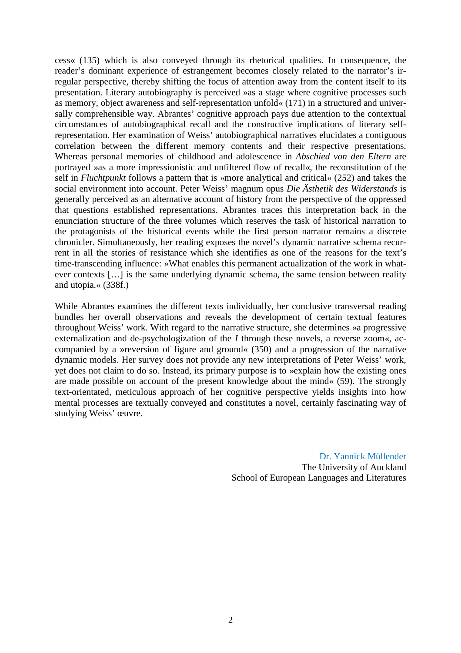cess« (135) which is also conveyed through its rhetorical qualities. In consequence, the reader's dominant experience of estrangement becomes closely related to the narrator's irregular perspective, thereby shifting the focus of attention away from the content itself to its presentation. Literary autobiography is perceived »as a stage where cognitive processes such as memory, object awareness and self-representation unfold« (171) in a structured and universally comprehensible way. Abrantes' cognitive approach pays due attention to the contextual circumstances of autobiographical recall and the constructive implications of literary selfrepresentation. Her examination of Weiss' autobiographical narratives elucidates a contiguous correlation between the different memory contents and their respective presentations. Whereas personal memories of childhood and adolescence in *Abschied von den Eltern* are portrayed »as a more impressionistic and unfiltered flow of recall«, the reconstitution of the self in *Fluchtpunkt* follows a pattern that is »more analytical and critical« (252) and takes the social environment into account. Peter Weiss' magnum opus *Die Ästhetik des Widerstands* is generally perceived as an alternative account of history from the perspective of the oppressed that questions established representations. Abrantes traces this interpretation back in the enunciation structure of the three volumes which reserves the task of historical narration to the protagonists of the historical events while the first person narrator remains a discrete chronicler. Simultaneously, her reading exposes the novel's dynamic narrative schema recurrent in all the stories of resistance which she identifies as one of the reasons for the text's time-transcending influence: »What enables this permanent actualization of the work in whatever contexts […] is the same underlying dynamic schema, the same tension between reality and utopia.« (338f.)

While Abrantes examines the different texts individually, her conclusive transversal reading bundles her overall observations and reveals the development of certain textual features throughout Weiss' work. With regard to the narrative structure, she determines »a progressive externalization and de-psychologization of the *I* through these novels, a reverse zoom«, accompanied by a »reversion of figure and ground« (350) and a progression of the narrative dynamic models. Her survey does not provide any new interpretations of Peter Weiss' work, yet does not claim to do so. Instead, its primary purpose is to »explain how the existing ones are made possible on account of the present knowledge about the mind« (59). The strongly text-orientated, meticulous approach of her cognitive perspective yields insights into how mental processes are textually conveyed and constitutes a novel, certainly fascinating way of studying Weiss' œuvre.

> Dr. Yannick Müllender The University of Auckland School of European Languages and Literatures